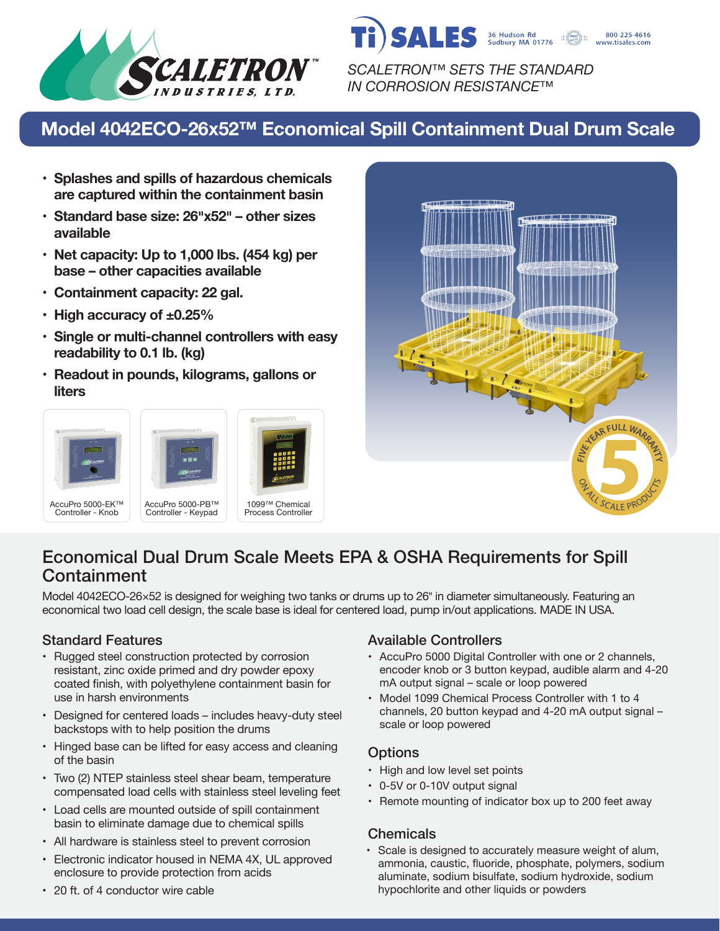

**SALES** 36 Hudson Rd 800-225-4616 www.tisales.com *SCALETRON™ SETS THE STANDARD*

*IN CORROSION RESISTANCE™*

# **Model 4042ECO-26x52™ Economical Spill Containment Dual Drum Scale**

- **• Splashes and spills of hazardous chemicals are captured within the containment basin**
- **• Standard base size: 26�x52� – other sizes available**
- **• Net capacity: Up to 1,000 lbs. (454 kg) per base – other capacities available**
- **• Containment capacity: 22 gal.**
- **• High accuracy of ±0.25%**
- **• Single or multi-channel controllers with easy readability to 0.1 lb. (kg)**
- **• Readout in pounds, kilograms, gallons or liters**





## Economical Dual Drum Scale Meets EPA & OSHA Requirements for Spill **Containment**

Model 4042ECO-26×52 is designed for weighing two tanks or drums up to 26" in diameter simultaneously. Featuring an economical two load cell design, the scale base is ideal for centered load, pump in/out applications. MADE IN USA.

- Rugged steel construction protected by corrosion resistant, zinc oxide primed and dry powder epoxy coated finish, with polyethylene containment basin for use in harsh environments
- Designed for centered loads includes heavy-duty steel backstops with to help position the drums
- Hinged base can be lifted for easy access and cleaning of the basin
- Two (2) NTEP stainless steel shear beam, temperature compensated load cells with stainless steel leveling feet
- Load cells are mounted outside of spill containment basin to eliminate damage due to chemical spills
- All hardware is stainless steel to prevent corrosion
- Electronic indicator housed in NEMA 4X, UL approved enclosure to provide protection from acids

#### Standard Features **Available Controllers** Available Controllers

- AccuPro 5000 Digital Controller with one or 2 channels, encoder knob or 3 button keypad, audible alarm and 4-20 mA output signal – scale or loop powered
- Model 1099 Chemical Process Controller with 1 to 4 channels, 20 button keypad and 4-20 mA output signal – scale or loop powered

### **Options**

- High and low level set points
- 0-5V or 0-10V output signal
- Remote mounting of indicator box up to 200 feet away

#### **Chemicals**

• Scale is designed to accurately measure weight of alum, ammonia, caustic, fluoride, phosphate, polymers, sodium aluminate, sodium bisulfate, sodium hydroxide, sodium hypochlorite and other liquids or powders

• 20 ft. of 4 conductor wire cable